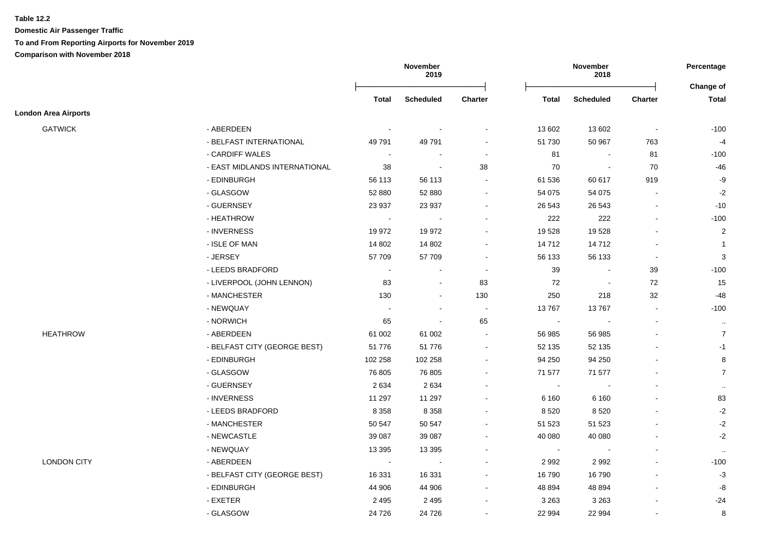**Table 12.2**

**Domestic Air Passenger Traffic To and From Reporting Airports for November 2019 Comparison with November 2018**

|                             |                               |              | November<br>2019 |                          |                          | November<br>2018 |                |                    |
|-----------------------------|-------------------------------|--------------|------------------|--------------------------|--------------------------|------------------|----------------|--------------------|
|                             |                               | <b>Total</b> | <b>Scheduled</b> | Charter                  | Total                    | <b>Scheduled</b> | <b>Charter</b> | Change of<br>Total |
| <b>London Area Airports</b> |                               |              |                  |                          |                          |                  |                |                    |
| <b>GATWICK</b>              | - ABERDEEN                    |              |                  |                          | 13 602                   | 13 602           | $\sim$         | $-100$             |
|                             | - BELFAST INTERNATIONAL       | 49791        | 49 791           |                          | 51 730                   | 50 967           | 763            | $-4$               |
|                             | - CARDIFF WALES               | $\sim$       |                  | $\blacksquare$           | 81                       |                  | 81             | $-100$             |
|                             | - EAST MIDLANDS INTERNATIONAL | 38           |                  | $38\,$                   | $70\,$                   |                  | 70             | $-46$              |
|                             | - EDINBURGH                   | 56 113       | 56 113           |                          | 61 536                   | 60 617           | 919            | -9                 |
|                             | - GLASGOW                     | 52 880       | 52 880           |                          | 54 075                   | 54 075           |                | $-2$               |
|                             | - GUERNSEY                    | 23 937       | 23 937           |                          | 26 543                   | 26 543           |                | $-10$              |
|                             | - HEATHROW                    | $\sim$       |                  |                          | 222                      | 222              |                | $-100$             |
|                             | - INVERNESS                   | 19 972       | 19 972           |                          | 19528                    | 19528            |                | $\overline{2}$     |
|                             | - ISLE OF MAN                 | 14 802       | 14 802           |                          | 14712                    | 14712            |                | $\overline{1}$     |
|                             | - JERSEY                      | 57 709       | 57 709           |                          | 56 133                   | 56 133           | $\overline{a}$ | $\mathbf{3}$       |
|                             | - LEEDS BRADFORD              | $\sim$       | $\sim$           | $\sim$                   | 39                       |                  | 39             | $-100$             |
|                             | - LIVERPOOL (JOHN LENNON)     | 83           | $\sim$           | 83                       | 72                       |                  | 72             | 15                 |
|                             | - MANCHESTER                  | 130          | $\sim$           | 130                      | 250                      | 218              | 32             | $-48$              |
|                             | - NEWQUAY                     |              | $\sim$           | $\sim$                   | 13767                    | 13767            | $\mathbf{r}$   | $-100$             |
|                             | - NORWICH                     | 65           |                  | 65                       | $\overline{\phantom{a}}$ |                  | $\blacksquare$ | $\cdot\cdot$       |
| <b>HEATHROW</b>             | - ABERDEEN                    | 61 002       | 61 002           |                          | 56 985                   | 56 985           |                | $\overline{7}$     |
|                             | - BELFAST CITY (GEORGE BEST)  | 51776        | 51 776           | $\overline{\phantom{a}}$ | 52 135                   | 52 135           |                | $-1$               |
|                             | - EDINBURGH                   | 102 258      | 102 258          |                          | 94 250                   | 94 250           |                | 8                  |
|                             | - GLASGOW                     | 76 805       | 76 805           | $\sim$                   | 71 577                   | 71 577           |                | $\overline{7}$     |
|                             | - GUERNSEY                    | 2634         | 2634             |                          | $\blacksquare$           |                  |                | $\sim$             |
|                             | - INVERNESS                   | 11 297       | 11 297           |                          | 6 1 6 0                  | 6 1 6 0          |                | 83                 |
|                             | - LEEDS BRADFORD              | 8 3 5 8      | 8 3 5 8          |                          | 8520                     | 8520             |                | $-2$               |
|                             | - MANCHESTER                  | 50 547       | 50 547           |                          | 51 523                   | 51 523           |                | $-2$               |
|                             | - NEWCASTLE                   | 39 087       | 39 087           |                          | 40 080                   | 40 080           |                | $-2$               |
|                             | - NEWQUAY                     | 13 3 95      | 13 3 95          |                          | $\blacksquare$           |                  |                | $\sim$             |
| <b>LONDON CITY</b>          | - ABERDEEN                    | $\sim$       |                  |                          | 2992                     | 2992             |                | $-100$             |
|                             | - BELFAST CITY (GEORGE BEST)  | 16 331       | 16 331           |                          | 16790                    | 16790            |                | $-3$               |
|                             | - EDINBURGH                   | 44 906       | 44 906           |                          | 48 8 94                  | 48 894           |                | -8                 |
|                             | - EXETER                      | 2 4 9 5      | 2 4 9 5          |                          | 3 2 6 3                  | 3 2 6 3          |                | $-24$              |
|                             | - GLASGOW                     | 24 7 26      | 24 7 26          |                          | 22 994                   | 22 994           |                | 8                  |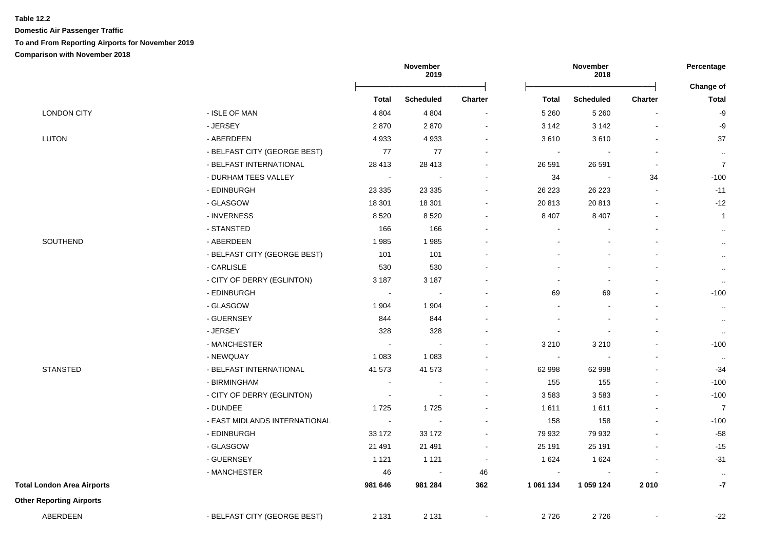#### **Table 12.2**

**Domestic Air Passenger Traffic To and From Reporting Airports for November 2019**

**Comparison with November 2018**

|                                   |                               |                            | November<br>2019         |                | November<br>2018 |                  | Percentage     |                           |
|-----------------------------------|-------------------------------|----------------------------|--------------------------|----------------|------------------|------------------|----------------|---------------------------|
|                                   |                               | <b>Total</b>               | <b>Scheduled</b>         | <b>Charter</b> | <b>Total</b>     | <b>Scheduled</b> | <b>Charter</b> | Change of<br><b>Total</b> |
| <b>LONDON CITY</b>                | - ISLE OF MAN                 | 4 8 0 4                    | 4 8 0 4                  |                | 5 2 6 0          | 5 2 6 0          |                | -9                        |
|                                   | - JERSEY                      | 2870                       | 2870                     |                | 3 1 4 2          | 3 1 4 2          |                | $-9$                      |
| <b>LUTON</b>                      | - ABERDEEN                    | 4933                       | 4 9 3 3                  |                | 3610             | 3610             |                | 37                        |
|                                   | - BELFAST CITY (GEORGE BEST)  | 77                         | $77$                     |                | $\blacksquare$   | $\blacksquare$   |                | $\sim$                    |
|                                   | - BELFAST INTERNATIONAL       | 28 4 13                    | 28 413                   |                | 26 591           | 26 591           | $\blacksquare$ | $\boldsymbol{7}$          |
|                                   | - DURHAM TEES VALLEY          | $\sim$                     | $\sim$                   |                | 34               | $\blacksquare$   | 34             | $-100$                    |
|                                   | - EDINBURGH                   | 23 3 35                    | 23 3 35                  |                | 26 223           | 26 223           |                | $-11$                     |
|                                   | - GLASGOW                     | 18 301                     | 18 301                   |                | 20813            | 20813            |                | $-12$                     |
|                                   | - INVERNESS                   | 8520                       | 8 5 20                   |                | 8 4 0 7          | 8 4 0 7          |                | $\overline{1}$            |
|                                   | - STANSTED                    | 166                        | 166                      |                |                  |                  |                | $\sim$                    |
| SOUTHEND                          | - ABERDEEN                    | 1985                       | 1985                     |                |                  |                  |                | $\cdot$ .                 |
|                                   | - BELFAST CITY (GEORGE BEST)  | 101                        | 101                      |                |                  |                  |                | $\sim$                    |
|                                   | - CARLISLE                    | 530                        | 530                      |                |                  |                  |                | $\sim$                    |
|                                   | - CITY OF DERRY (EGLINTON)    | 3 1 8 7                    | 3 187                    |                |                  | $\sim$           |                | $\sim$                    |
|                                   | - EDINBURGH                   | $\sim$                     |                          |                | 69               | 69               |                | $-100$                    |
|                                   | - GLASGOW                     | 1 9 0 4                    | 1 9 0 4                  |                |                  |                  |                | $\sim$                    |
|                                   | - GUERNSEY                    | 844                        | 844                      |                |                  |                  |                | $\mathbf{H}$              |
|                                   | - JERSEY                      | 328                        | 328                      |                |                  |                  |                | $\cdot\cdot$              |
|                                   | - MANCHESTER                  | $\sim$                     |                          |                | 3 2 1 0          | 3 2 1 0          |                | $-100$                    |
|                                   | - NEWQUAY                     | 1 0 8 3                    | 1 0 8 3                  |                | $\blacksquare$   |                  |                | $\sim$                    |
| <b>STANSTED</b>                   | - BELFAST INTERNATIONAL       | 41 573                     | 41 573                   |                | 62 998           | 62 998           |                | $-34$                     |
|                                   | - BIRMINGHAM                  | $\sim$                     |                          |                | 155              | 155              |                | $-100$                    |
|                                   | - CITY OF DERRY (EGLINTON)    | $\blacksquare$             | $\overline{\phantom{a}}$ |                | 3583             | 3583             |                | $-100$                    |
|                                   | - DUNDEE                      | 1725                       | 1725                     |                | 1611             | 1611             |                | $\overline{7}$            |
|                                   | - EAST MIDLANDS INTERNATIONAL | $\mathcal{L}_{\mathbf{r}}$ | $\sim$                   |                | 158              | 158              |                | $-100$                    |
|                                   | - EDINBURGH                   | 33 172                     | 33 172                   |                | 79 932           | 79 932           |                | $-58$                     |
|                                   | - GLASGOW                     | 21 4 91                    | 21 491                   | $\sim$         | 25 191           | 25 191           |                | $-15$                     |
|                                   | - GUERNSEY                    | 1 1 2 1                    | 1 1 2 1                  | $\sim$         | 1 6 2 4          | 1 6 2 4          |                | $-31$                     |
|                                   | - MANCHESTER                  | 46                         |                          | 46             |                  |                  |                | $\cdot$ .                 |
| <b>Total London Area Airports</b> |                               | 981 646                    | 981 284                  | 362            | 1 061 134        | 1 059 124        | 2010           | -7                        |
| <b>Other Reporting Airports</b>   |                               |                            |                          |                |                  |                  |                |                           |
| ABERDEEN                          | - BELFAST CITY (GEORGE BEST)  | 2 1 3 1                    | 2 1 3 1                  |                | 2726             | 2726             |                | $-22$                     |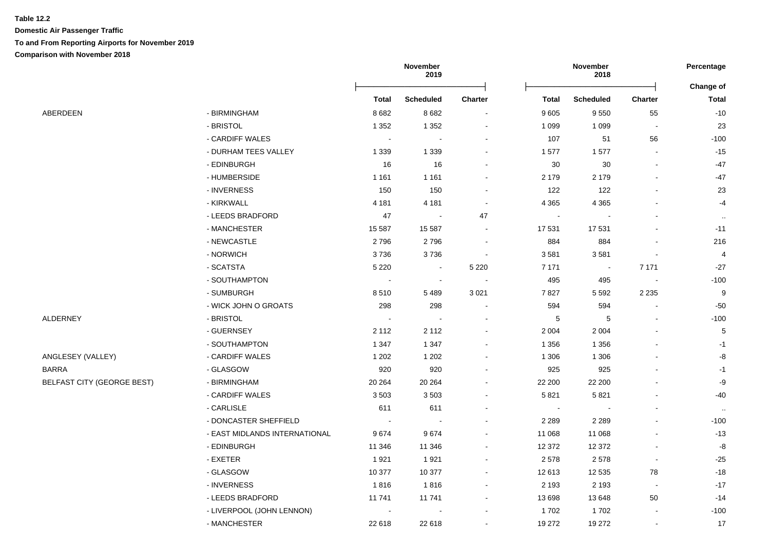|                                   |                               | November<br>2019 |                          | November<br>2018             |                |                  | Percentage     |                                  |
|-----------------------------------|-------------------------------|------------------|--------------------------|------------------------------|----------------|------------------|----------------|----------------------------------|
|                                   |                               | <b>Total</b>     | <b>Scheduled</b>         | <b>Charter</b>               | <b>Total</b>   | <b>Scheduled</b> | <b>Charter</b> | <b>Change of</b><br><b>Total</b> |
| ABERDEEN                          | - BIRMINGHAM                  | 8682             | 8 6 8 2                  |                              | 9605           | 9550             | 55             | $-10$                            |
|                                   | - BRISTOL                     | 1 3 5 2          | 1 3 5 2                  | $\blacksquare$               | 1 0 9 9        | 1 0 9 9          | $\sim$         | 23                               |
|                                   | - CARDIFF WALES               | $\sim$           |                          |                              | 107            | 51               | 56             | $-100$                           |
|                                   | - DURHAM TEES VALLEY          | 1 3 3 9          | 1 3 3 9                  |                              | 1577           | 1577             | $\overline{a}$ | $-15$                            |
|                                   | - EDINBURGH                   | 16               | 16                       |                              | 30             | 30               |                | $-47$                            |
|                                   | - HUMBERSIDE                  | 1 1 6 1          | 1 1 6 1                  |                              | 2 1 7 9        | 2 1 7 9          |                | $-47$                            |
|                                   | - INVERNESS                   | 150              | 150                      |                              | 122            | 122              |                | 23                               |
|                                   | - KIRKWALL                    | 4 1 8 1          | 4 1 8 1                  |                              | 4 3 6 5        | 4 3 6 5          |                | $-4$                             |
|                                   | - LEEDS BRADFORD              | 47               | $\overline{\phantom{a}}$ | 47                           | $\blacksquare$ |                  |                | $\sim$                           |
|                                   | - MANCHESTER                  | 15 587           | 15 587                   |                              | 17531          | 17531            |                | $-11$                            |
|                                   | - NEWCASTLE                   | 2796             | 2796                     |                              | 884            | 884              |                | 216                              |
|                                   | - NORWICH                     | 3736             | 3736                     | $\overline{\phantom{a}}$     | 3581           | 3581             |                | $\overline{4}$                   |
|                                   | - SCATSTA                     | 5 2 2 0          | $\blacksquare$           | 5 2 2 0                      | 7 1 7 1        | $\sim$           | 7 1 7 1        | $-27$                            |
|                                   | - SOUTHAMPTON                 | $\blacksquare$   | $\sim$                   |                              | 495            | 495              | $\blacksquare$ | $-100$                           |
|                                   | - SUMBURGH                    | 8510             | 5489                     | 3 0 21                       | 7827           | 5 5 9 2          | 2 2 3 5        | 9                                |
|                                   | - WICK JOHN O GROATS          | 298              | 298                      |                              | 594            | 594              |                | $-50$                            |
| ALDERNEY                          | - BRISTOL                     | $\sim$           | $\blacksquare$           |                              | 5              | 5                | $\mathbf{r}$   | $-100$                           |
|                                   | - GUERNSEY                    | 2 1 1 2          | 2 1 1 2                  |                              | 2 0 0 4        | 2 0 0 4          |                | 5                                |
|                                   | - SOUTHAMPTON                 | 1 3 4 7          | 1 3 4 7                  |                              | 1 3 5 6        | 1 3 5 6          |                | $-1$                             |
| ANGLESEY (VALLEY)                 | - CARDIFF WALES               | 1 2 0 2          | 1 2 0 2                  |                              | 1 3 0 6        | 1 3 0 6          |                | -8                               |
| <b>BARRA</b>                      | - GLASGOW                     | 920              | 920                      |                              | 925            | 925              |                | $-1$                             |
| <b>BELFAST CITY (GEORGE BEST)</b> | - BIRMINGHAM                  | 20 264           | 20 264                   |                              | 22 200         | 22 200           |                | -9                               |
|                                   | - CARDIFF WALES               | 3503             | 3503                     |                              | 5821           | 5821             |                | $-40$                            |
|                                   | - CARLISLE                    | 611              | 611                      |                              |                |                  |                | $\sim$                           |
|                                   | - DONCASTER SHEFFIELD         | $\sim$           |                          |                              | 2 2 8 9        | 2 2 8 9          |                | $-100$                           |
|                                   | - EAST MIDLANDS INTERNATIONAL | 9674             | 9674                     | ۰                            | 11 068         | 11 068           |                | $-13$                            |
|                                   | - EDINBURGH                   | 11 346           | 11 346                   | ۰                            | 12 372         | 12 372           | $\blacksquare$ | -8                               |
|                                   | - EXETER                      | 1921             | 1921                     |                              | 2578           | 2578             | $\blacksquare$ | $-25$                            |
|                                   | - GLASGOW                     | 10 377           | 10 377                   | $\blacksquare$               | 12 613         | 12 5 35          | 78             | $-18$                            |
|                                   | - INVERNESS                   | 1816             | 1816                     | $\qquad \qquad \blacksquare$ | 2 1 9 3        | 2 1 9 3          | $\sim$         | $-17$                            |
|                                   | - LEEDS BRADFORD              | 11741            | 11 741                   | ۰                            | 13 698         | 13 648           | 50             | $-14$                            |
|                                   | - LIVERPOOL (JOHN LENNON)     |                  |                          |                              | 1702           | 1702             |                | $-100$                           |
|                                   | - MANCHESTER                  | 22 618           | 22 618                   | $\blacksquare$               | 19 272         | 19 27 2          | $\sim$         | 17                               |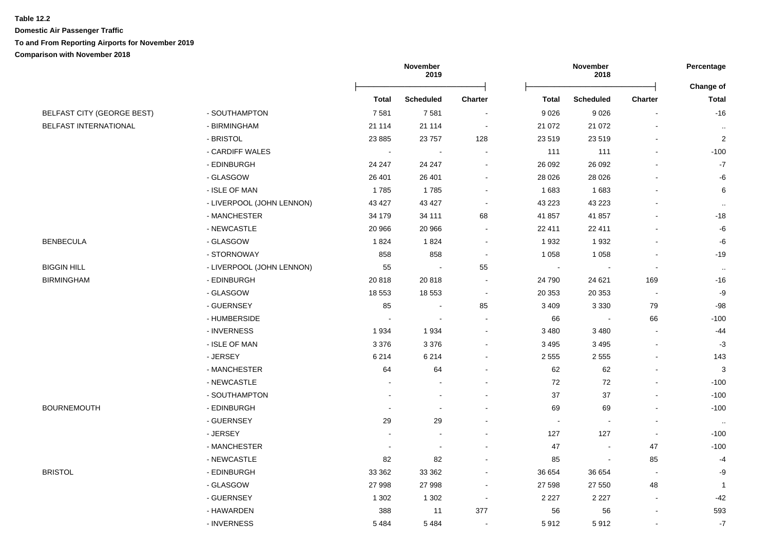|                                   |                           | November<br>2019 |                          |                          | Percentage   |                  |                |                |
|-----------------------------------|---------------------------|------------------|--------------------------|--------------------------|--------------|------------------|----------------|----------------|
|                                   |                           |                  |                          |                          |              |                  |                | Change of      |
|                                   |                           | <b>Total</b>     | <b>Scheduled</b>         | <b>Charter</b>           | <b>Total</b> | <b>Scheduled</b> | Charter        | <b>Total</b>   |
| <b>BELFAST CITY (GEORGE BEST)</b> | - SOUTHAMPTON             | 7581             | 7581                     |                          | 9026         | 9026             | $\blacksquare$ | $-16$          |
| BELFAST INTERNATIONAL             | - BIRMINGHAM              | 21 114           | 21 114                   |                          | 21 0 72      | 21 0 72          |                | $\cdot$        |
|                                   | - BRISTOL                 | 23 8 85          | 23 757                   | 128                      | 23 5 19      | 23 519           |                | $\overline{2}$ |
|                                   | - CARDIFF WALES           |                  |                          |                          | 111          | 111              |                | $-100$         |
|                                   | - EDINBURGH               | 24 247           | 24 247                   |                          | 26 092       | 26 092           |                | $-7$           |
|                                   | - GLASGOW                 | 26 401           | 26 401                   |                          | 28 0 26      | 28 0 26          |                | -6             |
|                                   | - ISLE OF MAN             | 1785             | 1785                     |                          | 1683         | 1683             |                | $\,6$          |
|                                   | - LIVERPOOL (JOHN LENNON) | 43 427           | 43 427                   |                          | 43 2 23      | 43 2 23          |                | $\ldots$       |
|                                   | - MANCHESTER              | 34 179           | 34 111                   | 68                       | 41 857       | 41 857           |                | $-18$          |
|                                   | - NEWCASTLE               | 20 966           | 20 966                   |                          | 22 411       | 22 411           |                | -6             |
| <b>BENBECULA</b>                  | - GLASGOW                 | 1824             | 1824                     |                          | 1932         | 1932             |                | $-6$           |
|                                   | - STORNOWAY               | 858              | 858                      | $\blacksquare$           | 1 0 5 8      | 1 0 5 8          |                | $-19$          |
| BIGGIN HILL                       | - LIVERPOOL (JOHN LENNON) | 55               | $\overline{\phantom{a}}$ | 55                       | $\sim$       | $\blacksquare$   | $\blacksquare$ | $\cdot$        |
| BIRMINGHAM                        | - EDINBURGH               | 20818            | 20 818                   |                          | 24 790       | 24 621           | 169            | $-16$          |
|                                   | - GLASGOW                 | 18 553           | 18 553                   | $\overline{\phantom{a}}$ | 20 353       | 20 353           | $\blacksquare$ | $-9$           |
|                                   | - GUERNSEY                | 85               |                          | 85                       | 3 4 0 9      | 3 3 3 0          | 79             | $-98$          |
|                                   | - HUMBERSIDE              |                  |                          |                          | 66           |                  | 66             | $-100$         |
|                                   | - INVERNESS               | 1934             | 1 9 3 4                  |                          | 3 4 8 0      | 3 4 8 0          |                | -44            |
|                                   | - ISLE OF MAN             | 3 3 7 6          | 3 3 7 6                  |                          | 3495         | 3 4 9 5          |                | $-3$           |
|                                   | - JERSEY                  | 6 2 1 4          | 6 2 1 4                  |                          | 2555         | 2 5 5 5          |                | 143            |
|                                   | - MANCHESTER              | 64               | 64                       |                          | 62           | 62               |                | 3              |
|                                   | - NEWCASTLE               |                  |                          |                          | $72\,$       | $72\,$           |                | $-100$         |
|                                   | - SOUTHAMPTON             |                  |                          |                          | 37           | 37               |                | $-100$         |
| BOURNEMOUTH                       | - EDINBURGH               |                  |                          |                          | 69           | 69               |                | $-100$         |
|                                   | - GUERNSEY                | 29               | 29                       |                          | $\sim$       |                  |                | $\cdot$        |
|                                   | - JERSEY                  |                  |                          |                          | 127          | 127              | $\blacksquare$ | $-100$         |
|                                   | - MANCHESTER              |                  |                          |                          | 47           |                  | 47             | $-100$         |
|                                   | - NEWCASTLE               | 82               | 82                       |                          | 85           |                  | 85             | $-4$           |
| BRISTOL                           | - EDINBURGH               | 33 362           | 33 362                   |                          | 36 654       | 36 654           | $\blacksquare$ | -9             |
|                                   | - GLASGOW                 | 27 998           | 27 998                   |                          | 27 598       | 27 550           | 48             | $\mathbf{1}$   |
|                                   | - GUERNSEY                | 1 3 0 2          | 1 3 0 2                  | $\overline{\phantom{a}}$ | 2 2 2 7      | 2 2 2 7          |                | $-42$          |
|                                   | - HAWARDEN                | 388              | 11                       | 377                      | 56           | 56               |                | 593            |
|                                   | - INVERNESS               | 5484             | 5 4 8 4                  |                          | 5912         | 5912             | $\mathbf{r}$   | $-7$           |
|                                   |                           |                  |                          |                          |              |                  |                |                |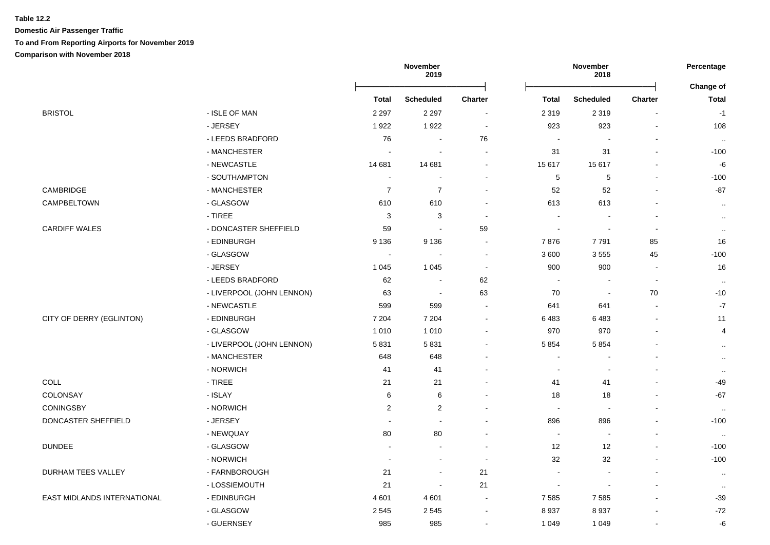|                             |                           |                          | November<br>2019         |                          |                          | November<br>2018         |                          | Percentage                |
|-----------------------------|---------------------------|--------------------------|--------------------------|--------------------------|--------------------------|--------------------------|--------------------------|---------------------------|
|                             |                           | Total                    | <b>Scheduled</b>         | <b>Charter</b>           | Total                    | <b>Scheduled</b>         | <b>Charter</b>           | Change of<br><b>Total</b> |
| <b>BRISTOL</b>              | - ISLE OF MAN             | 2 2 9 7                  | 2 2 9 7                  | $\sim$                   | 2 3 1 9                  | 2 3 1 9                  |                          | $-1$                      |
|                             | - JERSEY                  | 1922                     | 1922                     | $\sim$                   | 923                      | 923                      |                          | 108                       |
|                             | - LEEDS BRADFORD          | 76                       | $\sim$                   | 76                       | $\overline{\phantom{a}}$ |                          |                          | $\cdot$ .                 |
|                             | - MANCHESTER              | $\overline{\phantom{a}}$ | ÷,                       | $\blacksquare$           | 31                       | 31                       |                          | $-100$                    |
|                             | - NEWCASTLE               | 14 681                   | 14 681                   | $\overline{\phantom{a}}$ | 15 617                   | 15617                    |                          | -6                        |
|                             | - SOUTHAMPTON             | $\sim$                   | $\overline{\phantom{a}}$ | $\blacksquare$           | $\sqrt{5}$               | $\,$ 5 $\,$              | $\overline{\phantom{a}}$ | $-100$                    |
| CAMBRIDGE                   | - MANCHESTER              | $\overline{7}$           | $\overline{7}$           | $\blacksquare$           | 52                       | 52                       |                          | $-87$                     |
| CAMPBELTOWN                 | - GLASGOW                 | 610                      | 610                      | $\sim$                   | 613                      | 613                      |                          | $\cdot$ .                 |
|                             | - TIREE                   | 3                        | 3                        | $\sim$                   |                          |                          |                          | $\sim$                    |
| <b>CARDIFF WALES</b>        | - DONCASTER SHEFFIELD     | 59                       | J.                       | 59                       |                          |                          | $\overline{\phantom{a}}$ | $\sim$                    |
|                             | - EDINBURGH               | 9 1 3 6                  | 9 1 3 6                  | $\sim$                   | 7876                     | 7791                     | 85                       | 16                        |
|                             | - GLASGOW                 | $\blacksquare$           | J.                       | $\sim$                   | 3600                     | 3555                     | 45                       | $-100$                    |
|                             | - JERSEY                  | 1 0 4 5                  | 1 0 4 5                  | $\sim$                   | 900                      | 900                      | $\overline{\phantom{a}}$ | 16                        |
|                             | - LEEDS BRADFORD          | 62                       | $\blacksquare$           | 62                       | $\sim$                   |                          | $\sim$                   | $\cdot$ .                 |
|                             | - LIVERPOOL (JOHN LENNON) | 63                       | $\overline{\phantom{a}}$ | 63                       | 70                       | $\blacksquare$           | 70                       | $-10$                     |
|                             | - NEWCASTLE               | 599                      | 599                      | $\sim$                   | 641                      | 641                      |                          | $-7$                      |
| CITY OF DERRY (EGLINTON)    | - EDINBURGH               | 7 2 0 4                  | 7 2 0 4                  | $\blacksquare$           | 6483                     | 6483                     |                          | 11                        |
|                             | - GLASGOW                 | 1010                     | 1 0 1 0                  | $\overline{a}$           | 970                      | 970                      |                          | 4                         |
|                             | - LIVERPOOL (JOHN LENNON) | 5831                     | 5831                     | $\blacksquare$           | 5854                     | 5854                     |                          | $\sim$                    |
|                             | - MANCHESTER              | 648                      | 648                      |                          |                          |                          |                          | $\ddotsc$                 |
|                             | - NORWICH                 | 41                       | 41                       | $\blacksquare$           | $\overline{\phantom{a}}$ | $\overline{\phantom{a}}$ |                          | $\sim$                    |
| COLL                        | - TIREE                   | 21                       | 21                       | $\blacksquare$           | 41                       | 41                       |                          | -49                       |
| COLONSAY                    | - ISLAY                   | 6                        | 6                        | ä,                       | 18                       | 18                       |                          | $-67$                     |
| <b>CONINGSBY</b>            | - NORWICH                 | 2                        | $\overline{2}$           | $\blacksquare$           | $\blacksquare$           | $\blacksquare$           |                          | $\ldots$                  |
| DONCASTER SHEFFIELD         | - JERSEY                  | $\sim$                   | $\sim$                   | $\blacksquare$           | 896                      | 896                      |                          | $-100$                    |
|                             | - NEWQUAY                 | 80                       | 80                       | $\blacksquare$           | $\sim$                   | $\overline{\phantom{a}}$ |                          | $\cdot$ .                 |
| <b>DUNDEE</b>               | - GLASGOW                 | $\blacksquare$           | $\overline{a}$           | $\sim$                   | 12                       | 12                       |                          | $-100$                    |
|                             | - NORWICH                 | $\blacksquare$           | $\blacksquare$           | $\sim$                   | 32                       | 32                       |                          | $-100$                    |
| DURHAM TEES VALLEY          | - FARNBOROUGH             | 21                       | $\blacksquare$           | 21                       |                          |                          |                          | $\cdot$ .                 |
|                             | - LOSSIEMOUTH             | 21                       | $\overline{\phantom{a}}$ | 21                       | $\overline{\phantom{a}}$ |                          |                          | $\cdot$ .                 |
| EAST MIDLANDS INTERNATIONAL | - EDINBURGH               | 4 601                    | 4 601                    | $\sim$                   | 7585                     | 7585                     |                          | $-39$                     |
|                             | - GLASGOW                 | 2545                     | 2 5 4 5                  | $\blacksquare$           | 8937                     | 8937                     |                          | $-72$                     |
|                             | - GUERNSEY                | 985                      | 985                      | $\blacksquare$           | 1 0 4 9                  | 1 0 4 9                  | $\overline{\phantom{a}}$ | -6                        |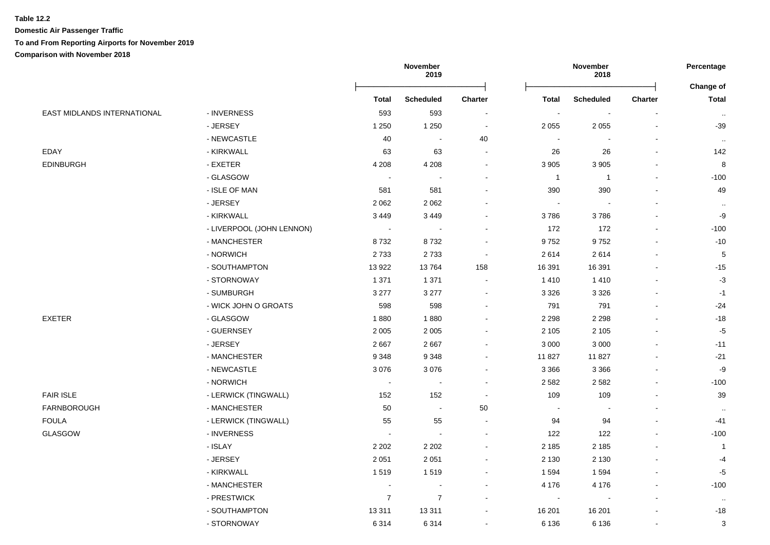#### **Table 12.2**

**Domestic Air Passenger Traffic**

**To and From Reporting Airports for November 2019**

**Comparison with November 2018**

|                             |                           | November<br>2019 |                  | November<br>2018         |                          |                          | Percentage<br><b>Change of</b> |                           |
|-----------------------------|---------------------------|------------------|------------------|--------------------------|--------------------------|--------------------------|--------------------------------|---------------------------|
|                             |                           | <b>Total</b>     | <b>Scheduled</b> | Charter                  | <b>Total</b>             | <b>Scheduled</b>         | Charter                        | <b>Total</b>              |
| EAST MIDLANDS INTERNATIONAL | - INVERNESS               | 593              | 593              |                          | $\blacksquare$           | $\overline{\phantom{a}}$ |                                | $\sim$                    |
|                             | - JERSEY                  | 1 2 5 0          | 1 2 5 0          | $\overline{\phantom{a}}$ | 2 0 5 5                  | 2 0 5 5                  |                                | $-39$                     |
|                             | - NEWCASTLE               | 40               | $\blacksquare$   | 40                       | $\blacksquare$           | $\blacksquare$           |                                | $\cdot$                   |
| EDAY                        | - KIRKWALL                | 63               | 63               |                          | 26                       | 26                       |                                | 142                       |
| EDINBURGH                   | - EXETER                  | 4 2 0 8          | 4 2 0 8          |                          | 3 9 0 5                  | 3 9 0 5                  |                                | 8                         |
|                             | - GLASGOW                 | $\sim$           |                  |                          | $\overline{1}$           | $\mathbf{1}$             |                                | $-100$                    |
|                             | - ISLE OF MAN             | 581              | 581              |                          | 390                      | 390                      |                                | 49                        |
|                             | - JERSEY                  | 2062             | 2 0 6 2          |                          |                          |                          |                                | $\sim$                    |
|                             | - KIRKWALL                | 3 4 4 9          | 3 4 4 9          |                          | 3786                     | 3786                     |                                | -9                        |
|                             | - LIVERPOOL (JOHN LENNON) | $\blacksquare$   | $\sim$           |                          | 172                      | 172                      |                                | $-100$                    |
|                             | - MANCHESTER              | 8732             | 8732             |                          | 9752                     | 9752                     |                                | $-10$                     |
|                             | - NORWICH                 | 2733             | 2733             | $\overline{\phantom{a}}$ | 2614                     | 2614                     |                                | $\overline{5}$            |
|                             | - SOUTHAMPTON             | 13922            | 13764            | 158                      | 16 391                   | 16 391                   |                                | $-15$                     |
|                             | - STORNOWAY               | 1 3 7 1          | 1 3 7 1          | $\overline{\phantom{a}}$ | 1410                     | 1 4 1 0                  |                                | $-3$                      |
|                             | - SUMBURGH                | 3 2 7 7          | 3 2 7 7          | $\overline{\phantom{a}}$ | 3 3 2 6                  | 3 3 2 6                  |                                | $-1$                      |
|                             | - WICK JOHN O GROATS      | 598              | 598              |                          | 791                      | 791                      |                                | $-24$                     |
| EXETER                      | - GLASGOW                 | 1880             | 1880             |                          | 2 2 9 8                  | 2 2 9 8                  |                                | $-18$                     |
|                             | - GUERNSEY                | 2 0 0 5          | 2 0 0 5          |                          | 2 1 0 5                  | 2 1 0 5                  |                                | $-5$                      |
|                             | - JERSEY                  | 2667             | 2 6 6 7          |                          | 3 0 0 0                  | 3 0 0 0                  |                                | $-11$                     |
|                             | - MANCHESTER              | 9 3 4 8          | 9 3 4 8          |                          | 11 827                   | 11827                    |                                | $-21$                     |
|                             | - NEWCASTLE               | 3076             | 3 0 7 6          | $\overline{\phantom{a}}$ | 3 3 6 6                  | 3 3 6 6                  |                                | $-9$                      |
|                             | - NORWICH                 | $\sim$           | $\overline{a}$   | $\overline{a}$           | 2582                     | 2582                     |                                | $-100$                    |
| <b>FAIR ISLE</b>            | - LERWICK (TINGWALL)      | 152              | 152              | $\overline{\phantom{a}}$ | 109                      | 109                      |                                | 39                        |
| FARNBOROUGH                 | - MANCHESTER              | 50               | $\sim$           | 50                       | $\overline{\phantom{a}}$ | $\sim$                   |                                | $\sim$                    |
| FOULA                       | - LERWICK (TINGWALL)      | 55               | 55               |                          | 94                       | 94                       |                                | $-41$                     |
| GLASGOW                     | - INVERNESS               |                  |                  |                          | 122                      | 122                      |                                | $-100$                    |
|                             | - ISLAY                   | 2 2 0 2          | 2 2 0 2          |                          | 2 1 8 5                  | 2 1 8 5                  |                                | $\overline{1}$            |
|                             | - JERSEY                  | 2 0 5 1          | 2 0 5 1          |                          | 2 1 3 0                  | 2 1 3 0                  |                                | $-4$                      |
|                             | - KIRKWALL                | 1519             | 1519             | $\blacksquare$           | 1594                     | 1594                     |                                | $-5$                      |
|                             | - MANCHESTER              | $\sim$           | $\blacksquare$   | $\overline{\phantom{a}}$ | 4 1 7 6                  | 4 1 7 6                  |                                | $-100$                    |
|                             | - PRESTWICK               | $\boldsymbol{7}$ | $\boldsymbol{7}$ | $\overline{\phantom{a}}$ | $\overline{\phantom{a}}$ | $\overline{\phantom{a}}$ |                                | $\sim$                    |
|                             | - SOUTHAMPTON             | 13 3 11          | 13 311           |                          | 16 201                   | 16 201                   |                                | $-18$                     |
|                             | - STORNOWAY               | 6314             | 6 3 1 4          | $\blacksquare$           | 6 1 3 6                  | 6 1 3 6                  |                                | $\ensuremath{\mathsf{3}}$ |
|                             |                           |                  |                  |                          |                          |                          |                                |                           |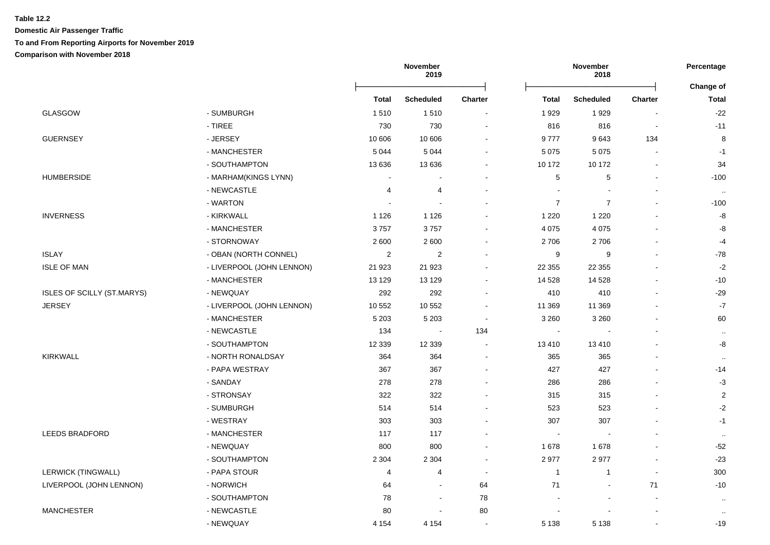# **Table 12.2 Domestic Air Passenger Traffic To and From Reporting Airports for November 2019**

**Comparison with November 2018**

|                            |                           |              | November<br>2019 |                          | November<br>2018         |                  |                          |                           |
|----------------------------|---------------------------|--------------|------------------|--------------------------|--------------------------|------------------|--------------------------|---------------------------|
|                            |                           | <b>Total</b> | <b>Scheduled</b> | <b>Charter</b>           | <b>Total</b>             | <b>Scheduled</b> | <b>Charter</b>           | Change of<br><b>Total</b> |
| <b>GLASGOW</b>             | - SUMBURGH                | 1510         | 1510             |                          | 1929                     | 1929             | $\overline{\phantom{a}}$ | $-22$                     |
|                            | - TIREE                   | 730          | 730              | $\overline{\phantom{a}}$ | 816                      | 816              | $\overline{a}$           | $-11$                     |
| <b>GUERNSEY</b>            | - JERSEY                  | 10 606       | 10 606           |                          | 9777                     | 9643             | 134                      | 8                         |
|                            | - MANCHESTER              | 5 0 4 4      | 5 0 4 4          | $\blacksquare$           | 5 0 7 5                  | 5 0 7 5          |                          | $-1$                      |
|                            | - SOUTHAMPTON             | 13 636       | 13 636           |                          | 10 172                   | 10 172           |                          | 34                        |
| <b>HUMBERSIDE</b>          | - MARHAM(KINGS LYNN)      |              |                  | $\blacksquare$           | 5                        | 5                | $\overline{a}$           | $-100$                    |
|                            | - NEWCASTLE               | 4            | 4                | $\blacksquare$           | J.                       |                  |                          | $\cdot$ .                 |
|                            | - WARTON                  |              |                  | $\blacksquare$           | $\overline{7}$           | $\overline{7}$   | $\blacksquare$           | $-100$                    |
| <b>INVERNESS</b>           | - KIRKWALL                | 1 1 2 6      | 1 1 2 6          | $\blacksquare$           | 1 2 2 0                  | 1 2 2 0          | $\blacksquare$           | -8                        |
|                            | - MANCHESTER              | 3757         | 3757             | $\blacksquare$           | 4 0 7 5                  | 4 0 7 5          | $\blacksquare$           | -8                        |
|                            | - STORNOWAY               | 2600         | 2 600            |                          | 2706                     | 2706             |                          | $-4$                      |
| <b>ISLAY</b>               | - OBAN (NORTH CONNEL)     | 2            | $\overline{2}$   |                          | 9                        | 9                |                          | $-78$                     |
| <b>ISLE OF MAN</b>         | - LIVERPOOL (JOHN LENNON) | 21 923       | 21 923           | $\blacksquare$           | 22 3 5 5                 | 22 3 5 5         |                          | $-2$                      |
|                            | - MANCHESTER              | 13 1 29      | 13 129           | $\blacksquare$           | 14 5 28                  | 14 5 28          |                          | $-10$                     |
| ISLES OF SCILLY (ST.MARYS) | - NEWQUAY                 | 292          | 292              | $\blacksquare$           | 410                      | 410              |                          | $-29$                     |
| <b>JERSEY</b>              | - LIVERPOOL (JOHN LENNON) | 10 552       | 10 552           | $\overline{\phantom{a}}$ | 11 369                   | 11 369           |                          | $-7$                      |
|                            | - MANCHESTER              | 5 2 0 3      | 5 2 0 3          | $\blacksquare$           | 3 2 6 0                  | 3 2 6 0          |                          | 60                        |
|                            | - NEWCASTLE               | 134          | $\sim$           | 134                      | $\sim$                   |                  |                          | $\cdot$                   |
|                            | - SOUTHAMPTON             | 12 3 3 9     | 12 3 39          | $\sim$                   | 13410                    | 13 4 10          |                          | -8                        |
| <b>KIRKWALL</b>            | - NORTH RONALDSAY         | 364          | 364              |                          | 365                      | 365              |                          |                           |
|                            | - PAPA WESTRAY            | 367          | 367              |                          | 427                      | 427              |                          | $-14$                     |
|                            | - SANDAY                  | 278          | 278              |                          | 286                      | 286              |                          | $-3$                      |
|                            | - STRONSAY                | 322          | 322              |                          | 315                      | 315              |                          | $\overline{2}$            |
|                            | - SUMBURGH                | 514          | 514              | $\blacksquare$           | 523                      | 523              |                          | $-2$                      |
|                            | - WESTRAY                 | 303          | 303              |                          | 307                      | 307              |                          | $-1$                      |
| <b>LEEDS BRADFORD</b>      | - MANCHESTER              | 117          | 117              | $\blacksquare$           | $\overline{\phantom{a}}$ |                  |                          | $\cdot$                   |
|                            | - NEWQUAY                 | 800          | 800              | $\blacksquare$           | 1678                     | 1678             | $\blacksquare$           | $-52$                     |
|                            | - SOUTHAMPTON             | 2 3 0 4      | 2 3 0 4          | $\blacksquare$           | 2977                     | 2977             | $\sim$                   | $-23$                     |
| <b>LERWICK (TINGWALL)</b>  | - PAPA STOUR              | 4            | $\overline{4}$   | $\blacksquare$           | $\mathbf{1}$             | $\mathbf{1}$     | $\overline{\phantom{a}}$ | 300                       |
| LIVERPOOL (JOHN LENNON)    | - NORWICH                 | 64           | $\blacksquare$   | 64                       | 71                       | $\blacksquare$   | 71                       | $-10$                     |
|                            | - SOUTHAMPTON             | 78           | $\blacksquare$   | 78                       | $\blacksquare$           | $\overline{a}$   | $\blacksquare$           | $\cdot$                   |
| <b>MANCHESTER</b>          | - NEWCASTLE               | 80           | $\blacksquare$   | 80                       |                          |                  |                          | $\cdot$ .                 |
|                            | - NEWQUAY                 | 4 1 5 4      | 4 1 5 4          | $\blacksquare$           | 5 1 3 8                  | 5 1 3 8          | $\blacksquare$           | $-19$                     |
|                            |                           |              |                  |                          |                          |                  |                          |                           |